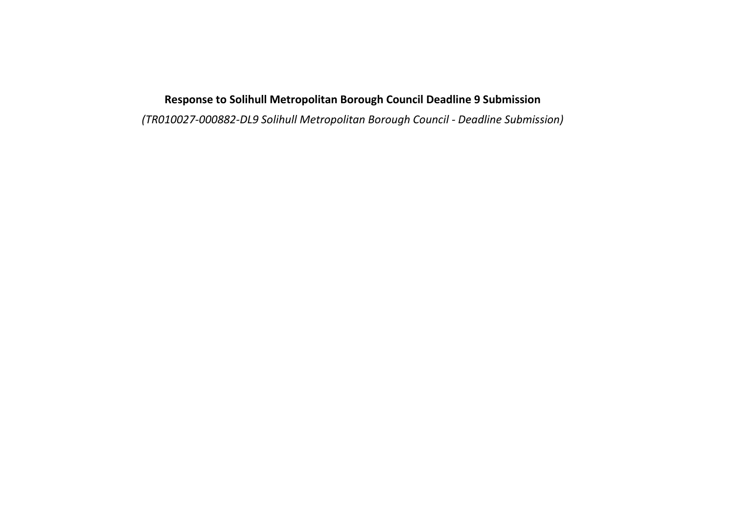## **Response to Solihull Metropolitan Borough Council Deadline 9 Submission**

*(TR010027-000882-DL9 Solihull Metropolitan Borough Council - Deadline Submission)*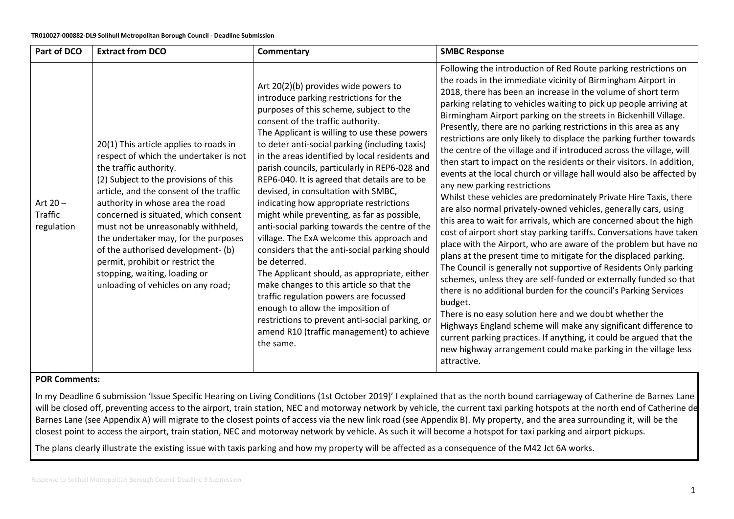| Part of DCO                         | <b>Extract from DCO</b>                                                                                                                                                                                                                                                                                                                                                                                                                                                                                  | Commentary                                                                                                                                                                                                                                                                                                                                                                                                                                                                                                                                                                                                                                                                                                                                                                                                                                                                                                                                                                                                    | <b>SMBC Response</b>                                                                                                                                                                                                                                                                                                                                                                                                                                                                                                                                                                                                                                                                                                                                                                                                                                                                                                                                                                                                                                                                                                                                                                                                                                                                                                                                                                                                                                                                                                                                                                                                                                                                        |
|-------------------------------------|----------------------------------------------------------------------------------------------------------------------------------------------------------------------------------------------------------------------------------------------------------------------------------------------------------------------------------------------------------------------------------------------------------------------------------------------------------------------------------------------------------|---------------------------------------------------------------------------------------------------------------------------------------------------------------------------------------------------------------------------------------------------------------------------------------------------------------------------------------------------------------------------------------------------------------------------------------------------------------------------------------------------------------------------------------------------------------------------------------------------------------------------------------------------------------------------------------------------------------------------------------------------------------------------------------------------------------------------------------------------------------------------------------------------------------------------------------------------------------------------------------------------------------|---------------------------------------------------------------------------------------------------------------------------------------------------------------------------------------------------------------------------------------------------------------------------------------------------------------------------------------------------------------------------------------------------------------------------------------------------------------------------------------------------------------------------------------------------------------------------------------------------------------------------------------------------------------------------------------------------------------------------------------------------------------------------------------------------------------------------------------------------------------------------------------------------------------------------------------------------------------------------------------------------------------------------------------------------------------------------------------------------------------------------------------------------------------------------------------------------------------------------------------------------------------------------------------------------------------------------------------------------------------------------------------------------------------------------------------------------------------------------------------------------------------------------------------------------------------------------------------------------------------------------------------------------------------------------------------------|
| Art $20 -$<br>Traffic<br>regulation | 20(1) This article applies to roads in<br>respect of which the undertaker is not<br>the traffic authority.<br>(2) Subject to the provisions of this<br>article, and the consent of the traffic<br>authority in whose area the road<br>concerned is situated, which consent<br>must not be unreasonably withheld,<br>the undertaker may, for the purposes<br>of the authorised development-(b)<br>permit, prohibit or restrict the<br>stopping, waiting, loading or<br>unloading of vehicles on any road; | Art 20(2)(b) provides wide powers to<br>introduce parking restrictions for the<br>purposes of this scheme, subject to the<br>consent of the traffic authority.<br>The Applicant is willing to use these powers<br>to deter anti-social parking (including taxis)<br>in the areas identified by local residents and<br>parish councils, particularly in REP6-028 and<br>REP6-040. It is agreed that details are to be<br>devised, in consultation with SMBC,<br>indicating how appropriate restrictions<br>might while preventing, as far as possible,<br>anti-social parking towards the centre of the<br>village. The ExA welcome this approach and<br>considers that the anti-social parking should<br>be deterred.<br>The Applicant should, as appropriate, either<br>make changes to this article so that the<br>traffic regulation powers are focussed<br>enough to allow the imposition of<br>restrictions to prevent anti-social parking, or<br>amend R10 (traffic management) to achieve<br>the same. | Following the introduction of Red Route parking restrictions on<br>the roads in the immediate vicinity of Birmingham Airport in<br>2018, there has been an increase in the volume of short term<br>parking relating to vehicles waiting to pick up people arriving at<br>Birmingham Airport parking on the streets in Bickenhill Village.<br>Presently, there are no parking restrictions in this area as any<br>restrictions are only likely to displace the parking further towards<br>the centre of the village and if introduced across the village, will<br>then start to impact on the residents or their visitors. In addition,<br>events at the local church or village hall would also be affected by<br>any new parking restrictions<br>Whilst these vehicles are predominately Private Hire Taxis, there<br>are also normal privately-owned vehicles, generally cars, using<br>this area to wait for arrivals, which are concerned about the high<br>cost of airport short stay parking tariffs. Conversations have taken<br>place with the Airport, who are aware of the problem but have no<br>plans at the present time to mitigate for the displaced parking.<br>The Council is generally not supportive of Residents Only parking<br>schemes, unless they are self-funded or externally funded so that<br>there is no additional burden for the council's Parking Services<br>budget.<br>There is no easy solution here and we doubt whether the<br>Highways England scheme will make any significant difference to<br>current parking practices. If anything, it could be argued that the<br>new highway arrangement could make parking in the village less<br>attractive. |

## **POR Comments:**

In my Deadline 6 submission 'Issue Specific Hearing on Living Conditions (1st October 2019)' I explained that as the north bound carriageway of Catherine de Barnes Lane will be closed off, preventing access to the airport, train station, NEC and motorway network by vehicle, the current taxi parking hotspots at the north end of Catherine de Barnes Lane (see Appendix A) will migrate to the closest points of access via the new link road (see Appendix B). My property, and the area surrounding it, will be the closest point to access the airport, train station, NEC and motorway network by vehicle. As such it will become a hotspot for taxi parking and airport pickups.

The plans clearly illustrate the existing issue with taxis parking and how my property will be affected as a consequence of the M42 Jct 6A works.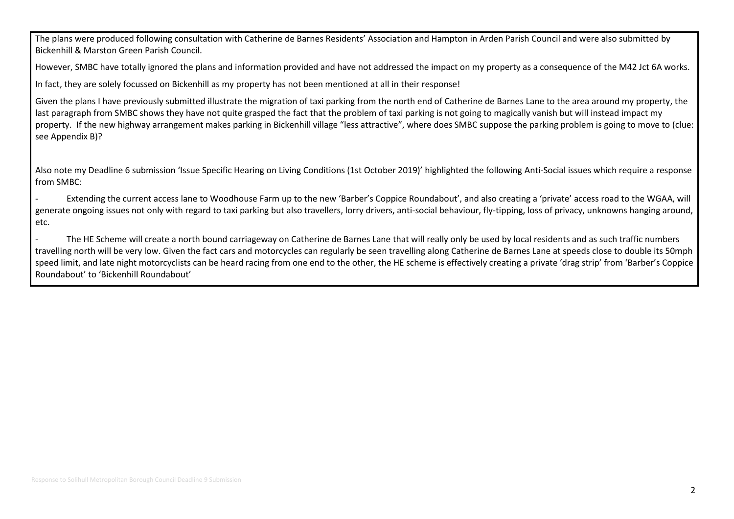The plans were produced following consultation with Catherine de Barnes Residents' Association and Hampton in Arden Parish Council and were also submitted by Bickenhill & Marston Green Parish Council.

However, SMBC have totally ignored the plans and information provided and have not addressed the impact on my property as a consequence of the M42 Jct 6A works.

In fact, they are solely focussed on Bickenhill as my property has not been mentioned at all in their response!

Given the plans I have previously submitted illustrate the migration of taxi parking from the north end of Catherine de Barnes Lane to the area around my property, the last paragraph from SMBC shows they have not quite grasped the fact that the problem of taxi parking is not going to magically vanish but will instead impact my property. If the new highway arrangement makes parking in Bickenhill village "less attractive", where does SMBC suppose the parking problem is going to move to (clue: see Appendix B)?

Also note my Deadline 6 submission 'Issue Specific Hearing on Living Conditions (1st October 2019)' highlighted the following Anti-Social issues which require a response from SMBC:

- Extending the current access lane to Woodhouse Farm up to the new 'Barber's Coppice Roundabout', and also creating a 'private' access road to the WGAA, will generate ongoing issues not only with regard to taxi parking but also travellers, lorry drivers, anti-social behaviour, fly-tipping, loss of privacy, unknowns hanging around, etc.

The HE Scheme will create a north bound carriageway on Catherine de Barnes Lane that will really only be used by local residents and as such traffic numbers travelling north will be very low. Given the fact cars and motorcycles can regularly be seen travelling along Catherine de Barnes Lane at speeds close to double its 50mph speed limit, and late night motorcyclists can be heard racing from one end to the other, the HE scheme is effectively creating a private 'drag strip' from 'Barber's Coppice Roundabout' to 'Bickenhill Roundabout'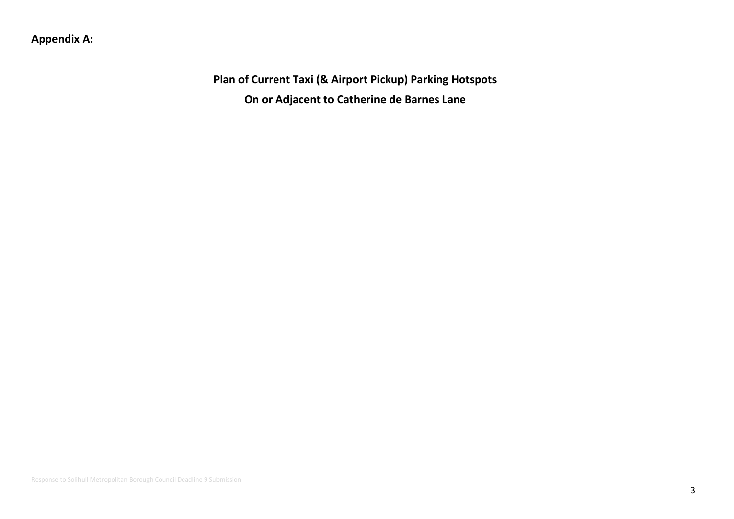## **Appendix A:**

**Plan of Current Taxi (& Airport Pickup) Parking Hotspots On or Adjacent to Catherine de Barnes Lane**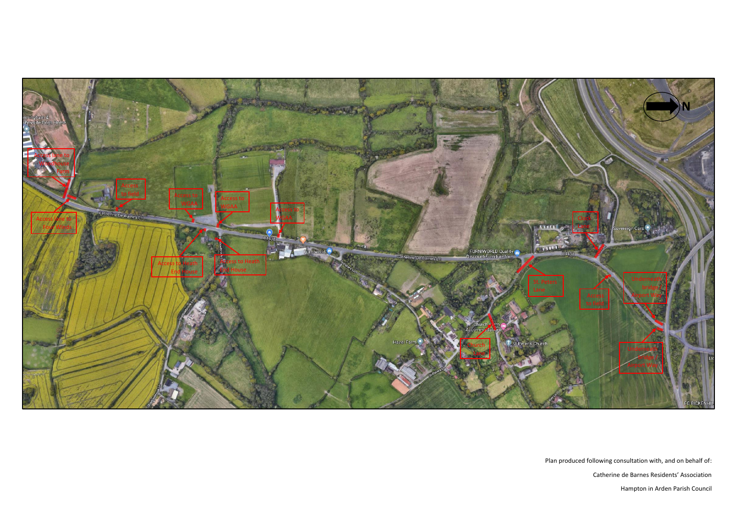Plan produced following consultation with, and on behalf of: Catherine de Barnes Residents' Association Hampton in Arden Parish Council

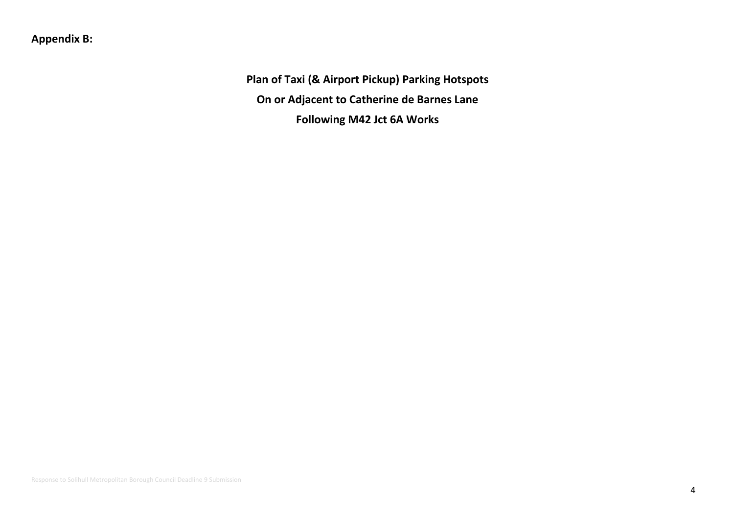## **Appendix B:**

**Plan of Taxi (& Airport Pickup) Parking Hotspots On or Adjacent to Catherine de Barnes Lane Following M42 Jct 6A Works**